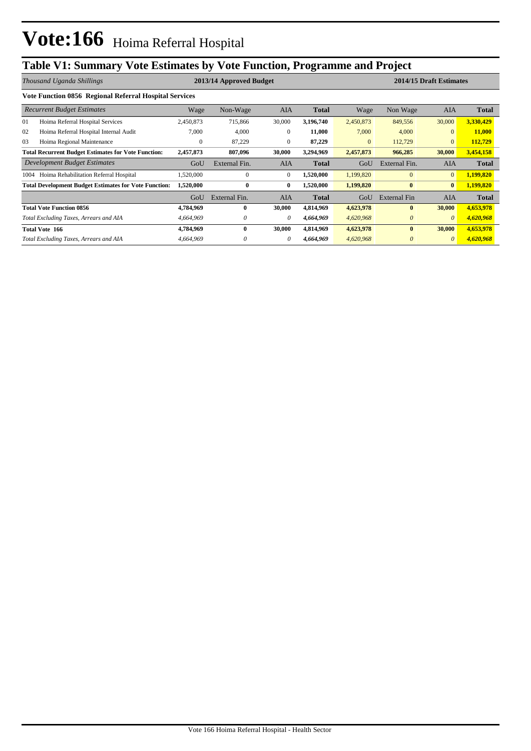## **Table V1: Summary Vote Estimates by Vote Function, Programme and Project**

|      | Thousand Uganda Shillings                                    |              | 2013/14 Approved Budget |              |              |              | 2014/15 Draft Estimates |                |              |  |
|------|--------------------------------------------------------------|--------------|-------------------------|--------------|--------------|--------------|-------------------------|----------------|--------------|--|
|      | Vote Function 0856 Regional Referral Hospital Services       |              |                         |              |              |              |                         |                |              |  |
|      | <b>Recurrent Budget Estimates</b>                            | Wage         | Non-Wage                | <b>AIA</b>   | <b>Total</b> | Wage         | Non Wage                | <b>AIA</b>     | Total        |  |
| 01   | Hoima Referral Hospital Services                             | 2,450,873    | 715,866                 | 30,000       | 3,196,740    | 2,450,873    | 849,556                 | 30,000         | 3,330,429    |  |
| 02   | Hoima Referral Hospital Internal Audit                       | 7,000        | 4,000                   | 0            | 11,000       | 7,000        | 4,000                   | $\mathbf{0}$   | 11,000       |  |
| 03   | Hoima Regional Maintenance                                   | $\mathbf{0}$ | 87,229                  | $\Omega$     | 87,229       | $\mathbf{0}$ | 112,729                 | $\overline{0}$ | 112,729      |  |
|      | <b>Total Recurrent Budget Estimates for Vote Function:</b>   | 2,457,873    | 807,096                 | 30,000       | 3,294,969    | 2,457,873    | 966,285                 | 30,000         | 3,454,158    |  |
|      | Development Budget Estimates                                 | GoU          | External Fin.           | <b>AIA</b>   | <b>Total</b> | GoU          | External Fin.           | <b>AIA</b>     | <b>Total</b> |  |
| 1004 | Hoima Rehabilitation Referral Hospital                       | ,520,000     | $\mathbf{0}$            | $\mathbf{0}$ | 1,520,000    | 1,199,820    | $\mathbf{0}$            | $\overline{0}$ | 1,199,820    |  |
|      | <b>Total Development Budget Estimates for Vote Function:</b> | 1,520,000    | $\bf{0}$                | $\bf{0}$     | 1,520,000    | 1,199,820    | $\bf{0}$                | $\bf{0}$       | 1,199,820    |  |
|      |                                                              | GoU          | External Fin.           | <b>AIA</b>   | <b>Total</b> | GoU          | <b>External Fin</b>     | <b>AIA</b>     | <b>Total</b> |  |
|      | <b>Total Vote Function 0856</b>                              | 4,784,969    | 0                       | 30,000       | 4,814,969    | 4,623,978    | $\mathbf{0}$            | 30,000         | 4,653,978    |  |
|      | Total Excluding Taxes, Arrears and AIA                       | 4,664,969    | 0                       | $\theta$     | 4,664,969    | 4,620,968    | $\theta$                | $\theta$       | 4,620,968    |  |
|      | <b>Total Vote 166</b>                                        | 4,784,969    | $\bf{0}$                | 30,000       | 4,814,969    | 4,623,978    | $\bf{0}$                | 30,000         | 4,653,978    |  |
|      | Total Excluding Taxes, Arrears and AIA                       | 4,664,969    | 0                       | 0            | 4,664,969    | 4,620,968    | $\theta$                | $\theta$       | 4,620,968    |  |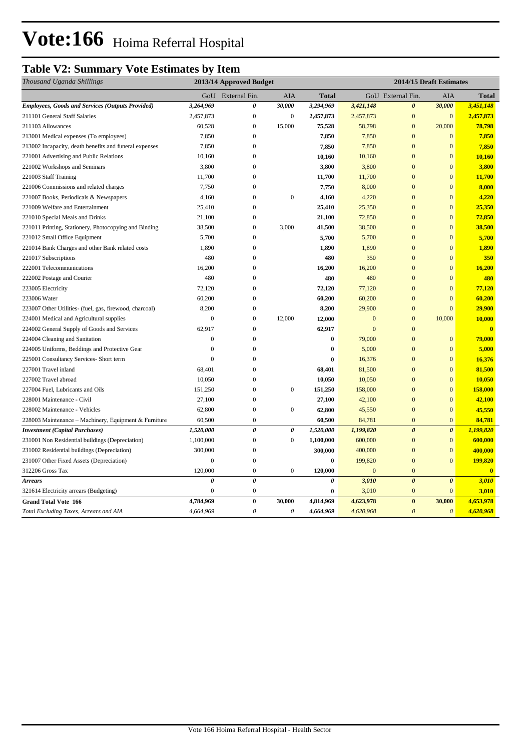# Vote:166 Hoima Referral Hospital

#### **Table V2: Summary Vote Estimates by Item**

| Thousand Uganda Shillings                               |                  | 2013/14 Approved Budget |                           |                  |              | 2014/15 Draft Estimates |                       |                         |
|---------------------------------------------------------|------------------|-------------------------|---------------------------|------------------|--------------|-------------------------|-----------------------|-------------------------|
|                                                         |                  | GoU External Fin.       | AIA                       | <b>Total</b>     |              | GoU External Fin.       | AIA                   | <b>Total</b>            |
| <b>Employees, Goods and Services (Outputs Provided)</b> | 3,264,969        | 0                       | 30,000                    | 3,294,969        | 3,421,148    | $\boldsymbol{\theta}$   | 30,000                | 3,451,148               |
| 211101 General Staff Salaries                           | 2,457,873        | $\boldsymbol{0}$        | $\boldsymbol{0}$          | 2,457,873        | 2,457,873    | $\mathbf{0}$            | $\mathbf{0}$          | 2,457,873               |
| 211103 Allowances                                       | 60,528           | $\boldsymbol{0}$        | 15,000                    | 75,528           | 58,798       | $\mathbf{0}$            | 20,000                | 78,798                  |
| 213001 Medical expenses (To employees)                  | 7,850            | $\mathbf{0}$            |                           | 7,850            | 7,850        | $\overline{0}$          | $\mathbf{0}$          | 7,850                   |
| 213002 Incapacity, death benefits and funeral expenses  | 7,850            | $\mathbf{0}$            |                           | 7,850            | 7,850        | $\mathbf{0}$            | $\bf{0}$              | 7,850                   |
| 221001 Advertising and Public Relations                 | 10,160           | $\overline{0}$          |                           | 10,160           | 10,160       | $\overline{0}$          | $\mathbf{0}$          | 10,160                  |
| 221002 Workshops and Seminars                           | 3,800            | $\boldsymbol{0}$        |                           | 3,800            | 3,800        | $\mathbf{0}$            | $\mathbf{0}$          | 3,800                   |
| 221003 Staff Training                                   | 11,700           | $\boldsymbol{0}$        |                           | 11,700           | 11,700       | $\mathbf{0}$            | $\boldsymbol{0}$      | 11,700                  |
| 221006 Commissions and related charges                  | 7,750            | $\boldsymbol{0}$        |                           | 7,750            | 8,000        | $\mathbf{0}$            | $\boldsymbol{0}$      | 8,000                   |
| 221007 Books, Periodicals & Newspapers                  | 4,160            | $\mathbf{0}$            | $\boldsymbol{0}$          | 4,160            | 4,220        | $\overline{0}$          | $\overline{0}$        | 4,220                   |
| 221009 Welfare and Entertainment                        | 25,410           | $\mathbf{0}$            |                           | 25,410           | 25,350       | $\overline{0}$          | $\overline{0}$        | 25,350                  |
| 221010 Special Meals and Drinks                         | 21,100           | $\mathbf{0}$            |                           | 21,100           | 72,850       | $\overline{0}$          | $\boldsymbol{0}$      | 72,850                  |
| 221011 Printing, Stationery, Photocopying and Binding   | 38,500           | $\mathbf{0}$            | 3,000                     | 41,500           | 38,500       | $\overline{0}$          | $\overline{0}$        | 38,500                  |
| 221012 Small Office Equipment                           | 5,700            | $\mathbf{0}$            |                           | 5,700            | 5,700        | $\overline{0}$          | $\overline{0}$        | 5,700                   |
| 221014 Bank Charges and other Bank related costs        | 1,890            | $\boldsymbol{0}$        |                           | 1,890            | 1,890        | $\mathbf{0}$            | $\boldsymbol{0}$      | 1,890                   |
| 221017 Subscriptions                                    | 480              | $\mathbf{0}$            |                           | 480              | 350          | $\overline{0}$          | $\mathbf{0}$          | 350                     |
| 222001 Telecommunications                               | 16,200           | $\mathbf{0}$            |                           | 16,200           | 16,200       | $\overline{0}$          | $\boldsymbol{0}$      | 16,200                  |
| 222002 Postage and Courier                              | 480              | $\boldsymbol{0}$        |                           | 480              | 480          | $\mathbf{0}$            | $\mathbf{0}$          | 480                     |
| 223005 Electricity                                      | 72,120           | $\boldsymbol{0}$        |                           | 72,120           | 77,120       | $\mathbf{0}$            | $\boldsymbol{0}$      | 77,120                  |
| 223006 Water                                            | 60,200           | $\overline{0}$          |                           | 60,200           | 60,200       | $\overline{0}$          | $\overline{0}$        | 60,200                  |
| 223007 Other Utilities- (fuel, gas, firewood, charcoal) | 8,200            | $\mathbf{0}$            |                           | 8,200            | 29,900       | $\overline{0}$          | $\overline{0}$        | 29,900                  |
| 224001 Medical and Agricultural supplies                | $\mathbf{0}$     | $\boldsymbol{0}$        | 12,000                    | 12,000           | $\mathbf{0}$ | $\mathbf{0}$            | 10,000                | 10,000                  |
| 224002 General Supply of Goods and Services             | 62,917           | $\mathbf{0}$            |                           | 62,917           | $\mathbf{0}$ | $\mathbf{0}$            |                       | $\mathbf{0}$            |
| 224004 Cleaning and Sanitation                          | $\mathbf{0}$     | $\mathbf{0}$            |                           | $\bf{0}$         | 79,000       | $\mathbf{0}$            | $\bf{0}$              | 79,000                  |
| 224005 Uniforms, Beddings and Protective Gear           | $\overline{0}$   | $\overline{0}$          |                           | $\boldsymbol{0}$ | 5,000        | $\overline{0}$          | $\mathbf{0}$          | 5,000                   |
| 225001 Consultancy Services- Short term                 | $\overline{0}$   | $\mathbf{0}$            |                           | $\bf{0}$         | 16,376       | $\mathbf{0}$            | $\boldsymbol{0}$      | 16,376                  |
| 227001 Travel inland                                    | 68,401           | $\boldsymbol{0}$        |                           | 68,401           | 81,500       | $\mathbf{0}$            | $\mathbf{0}$          | 81,500                  |
| 227002 Travel abroad                                    | 10,050           | $\Omega$                |                           | 10,050           | 10,050       | $\theta$                | $\mathbf{0}$          | 10,050                  |
| 227004 Fuel, Lubricants and Oils                        | 151,250          | $\boldsymbol{0}$        | $\boldsymbol{0}$          | 151,250          | 158,000      | $\mathbf{0}$            | $\mathbf{0}$          | 158,000                 |
| 228001 Maintenance - Civil                              | 27,100           | $\mathbf{0}$            |                           | 27,100           | 42,100       | $\overline{0}$          | $\overline{0}$        | 42,100                  |
| 228002 Maintenance - Vehicles                           | 62,800           | $\mathbf{0}$            | $\boldsymbol{0}$          | 62,800           | 45,550       | $\overline{0}$          | $\overline{0}$        | 45,550                  |
| 228003 Maintenance - Machinery, Equipment & Furniture   | 60,500           | $\boldsymbol{0}$        |                           | 60,500           | 84,781       | $\overline{0}$          | $\mathbf{0}$          | 84,781                  |
| <b>Investment</b> (Capital Purchases)                   | 1,520,000        | $\boldsymbol{\theta}$   | $\boldsymbol{\theta}$     | 1,520,000        | 1,199,820    | $\boldsymbol{\theta}$   | $\boldsymbol{\theta}$ | 1,199,820               |
| 231001 Non Residential buildings (Depreciation)         | 1,100,000        | $\boldsymbol{0}$        | $\boldsymbol{0}$          | 1,100,000        | 600,000      | $\mathbf{0}$            | $\mathbf{0}$          | 600,000                 |
| 231002 Residential buildings (Depreciation)             | 300,000          | $\boldsymbol{0}$        |                           | 300,000          | 400,000      | $\overline{0}$          | $\mathbf{0}$          | 400,000                 |
| 231007 Other Fixed Assets (Depreciation)                | $\boldsymbol{0}$ | $\boldsymbol{0}$        |                           | $\bf{0}$         | 199,820      | $\mathbf{0}$            | $\mathbf{0}$          | 199,820                 |
| 312206 Gross Tax                                        | 120,000          | $\boldsymbol{0}$        | $\boldsymbol{0}$          | 120,000          | $\mathbf{0}$ | $\mathbf{0}$            |                       | $\overline{\mathbf{0}}$ |
| <b>Arrears</b>                                          | $\pmb{\theta}$   | $\pmb{\theta}$          |                           | $\pmb{\theta}$   | 3,010        | $\boldsymbol{\theta}$   | $\boldsymbol{\theta}$ | 3,010                   |
| 321614 Electricity arrears (Budgeting)                  | $\boldsymbol{0}$ | $\boldsymbol{0}$        |                           | $\bf{0}$         | 3,010        | $\mathbf{0}$            | $\mathbf{0}$          | 3,010                   |
| <b>Grand Total Vote 166</b>                             | 4,784,969        | $\bf{0}$                | 30,000                    | 4,814,969        | 4,623,978    | $\bf{0}$                | 30,000                | 4,653,978               |
| Total Excluding Taxes, Arrears and AIA                  | 4,664,969        | $\boldsymbol{\theta}$   | $\boldsymbol{\mathit{0}}$ | 4,664,969        | 4,620,968    | $\theta$                | $\boldsymbol{\theta}$ | 4,620,968               |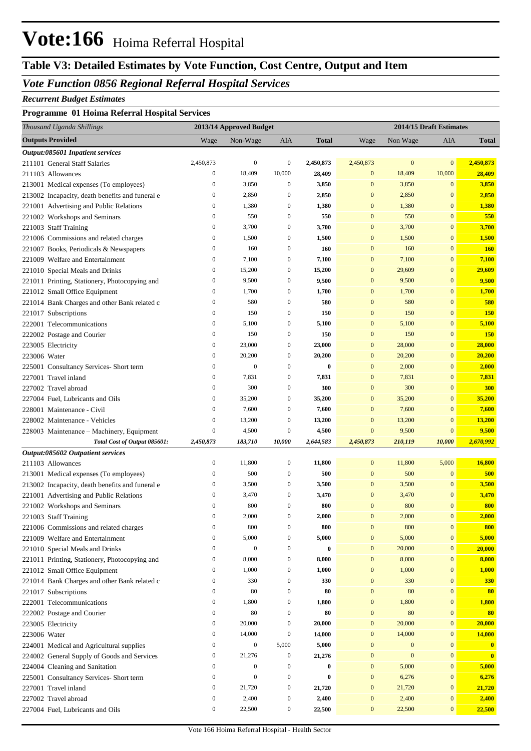## **Vote:166** Hoima Referral Hospital

## **Table V3: Detailed Estimates by Vote Function, Cost Centre, Output and Item**

#### *Vote Function 0856 Regional Referral Hospital Services*

#### *Recurrent Budget Estimates*

#### **Programme 01 Hoima Referral Hospital Services**

| Thousand Uganda Shillings                       |                                      | 2013/14 Approved Budget              |                                      |              |                                      |              | 2014/15 Draft Estimates              |               |
|-------------------------------------------------|--------------------------------------|--------------------------------------|--------------------------------------|--------------|--------------------------------------|--------------|--------------------------------------|---------------|
| <b>Outputs Provided</b>                         | Wage                                 | Non-Wage                             | AIA                                  | <b>Total</b> | Wage                                 | Non Wage     | AIA                                  | <b>Total</b>  |
| Output:085601 Inpatient services                |                                      |                                      |                                      |              |                                      |              |                                      |               |
| 211101 General Staff Salaries                   | 2,450,873                            | $\boldsymbol{0}$                     | $\boldsymbol{0}$                     | 2,450,873    | 2,450,873                            | $\mathbf{0}$ | $\mathbf{0}$                         | 2,450,873     |
| 211103 Allowances                               | $\boldsymbol{0}$                     | 18,409                               | 10,000                               | 28,409       | $\mathbf{0}$                         | 18,409       | 10,000                               | 28,409        |
| 213001 Medical expenses (To employees)          | $\bf{0}$                             | 3,850                                | $\mathbf{0}$                         | 3,850        | $\bf{0}$                             | 3,850        | $\mathbf{0}$                         | 3,850         |
| 213002 Incapacity, death benefits and funeral e | $\bf{0}$                             | 2,850                                | $\mathbf{0}$                         | 2,850        | $\bf{0}$                             | 2,850        | $\mathbf{0}$                         | 2,850         |
| 221001 Advertising and Public Relations         | $\bf{0}$                             | 1,380                                | 0                                    | 1,380        | $\bf{0}$                             | 1,380        | $\mathbf{0}$                         | 1,380         |
| 221002 Workshops and Seminars                   | $\mathbf{0}$                         | 550                                  | 0                                    | 550          | $\bf{0}$                             | 550          | $\mathbf{0}$                         | 550           |
| 221003 Staff Training                           | $\bf{0}$                             | 3,700                                | $\mathbf{0}$                         | 3,700        | $\bf{0}$                             | 3,700        | $\mathbf{0}$                         | 3,700         |
| 221006 Commissions and related charges          | $\bf{0}$                             | 1,500                                | 0                                    | 1,500        | $\bf{0}$                             | 1,500        | $\mathbf{0}$                         | 1,500         |
| 221007 Books, Periodicals & Newspapers          | $\bf{0}$                             | 160                                  | 0                                    | 160          | $\bf{0}$                             | 160          | $\mathbf{0}$                         | <b>160</b>    |
| 221009 Welfare and Entertainment                | $\bf{0}$                             | 7,100                                | $\mathbf{0}$                         | 7,100        | $\bf{0}$                             | 7,100        | $\mathbf{0}$                         | 7,100         |
| 221010 Special Meals and Drinks                 | $\mathbf{0}$                         | 15,200                               | $\mathbf{0}$                         | 15,200       | $\bf{0}$                             | 29,609       | $\mathbf{0}$                         | 29,609        |
| 221011 Printing, Stationery, Photocopying and   | $\bf{0}$                             | 9,500                                | 0                                    | 9,500        | $\bf{0}$                             | 9,500        | $\mathbf{0}$                         | 9,500         |
| 221012 Small Office Equipment                   | $\bf{0}$                             | 1,700                                | $\mathbf{0}$                         | 1,700        | $\bf{0}$                             | 1,700        | $\mathbf{0}$                         | 1,700         |
| 221014 Bank Charges and other Bank related c    | $\bf{0}$                             | 580                                  | 0                                    | 580          | $\bf{0}$                             | 580          | $\mathbf{0}$                         | 580           |
| 221017 Subscriptions                            | $\boldsymbol{0}$                     | 150                                  | 0                                    | 150          | $\bf{0}$                             | 150          | $\mathbf{0}$                         | <b>150</b>    |
| 222001 Telecommunications                       | $\boldsymbol{0}$                     | 5,100                                | 0                                    | 5,100        | $\bf{0}$                             | 5,100        | $\mathbf{0}$                         | 5,100         |
| 222002 Postage and Courier                      | $\bf{0}$                             | 150                                  | 0                                    | 150          | $\bf{0}$                             | 150          | $\mathbf{0}$                         | 150           |
| 223005 Electricity                              | $\boldsymbol{0}$                     | 23,000                               | 0                                    | 23,000       | $\bf{0}$                             | 28,000       | $\mathbf{0}$                         | 28,000        |
| 223006 Water                                    | $\bf{0}$                             | 20,200                               | 0                                    | 20,200       | $\bf{0}$                             | 20,200       | $\mathbf{0}$                         | 20,200        |
| 225001 Consultancy Services- Short term         | $\bf{0}$                             | $\mathbf{0}$                         | 0                                    | $\bf{0}$     | $\bf{0}$                             | 2,000        | $\mathbf{0}$                         | 2,000         |
| 227001 Travel inland                            | $\bf{0}$                             | 7,831                                | $\mathbf{0}$                         | 7,831        | $\bf{0}$                             | 7,831        | $\mathbf{0}$                         | 7,831         |
| 227002 Travel abroad                            | $\bf{0}$                             | 300                                  | 0                                    | 300          | $\bf{0}$                             | 300          | $\mathbf{0}$                         | 300           |
| 227004 Fuel, Lubricants and Oils                | $\boldsymbol{0}$                     | 35,200                               | 0                                    | 35,200       | $\bf{0}$                             | 35,200       | $\mathbf{0}$                         | 35,200        |
| 228001 Maintenance - Civil                      | $\bf{0}$                             | 7,600                                | $\mathbf{0}$                         | 7,600        | $\bf{0}$                             | 7,600        | $\mathbf{0}$                         | 7,600         |
| 228002 Maintenance - Vehicles                   | $\boldsymbol{0}$                     | 13,200                               | 0                                    | 13,200       | $\boldsymbol{0}$                     | 13,200       | $\mathbf{0}$                         | 13,200        |
| 228003 Maintenance - Machinery, Equipment       | $\boldsymbol{0}$                     | 4,500                                | $\boldsymbol{0}$                     | 4,500        | $\mathbf{0}$                         | 9,500        | $\boldsymbol{0}$                     | 9,500         |
| Total Cost of Output 085601:                    | 2,450,873                            | 183,710                              | 10,000                               | 2,644,583    | 2,450,873                            | 210,119      | 10,000                               | 2,670,992     |
| Output:085602 Outpatient services               |                                      |                                      |                                      |              |                                      |              |                                      |               |
| 211103 Allowances                               | $\boldsymbol{0}$                     | 11,800                               | $\boldsymbol{0}$                     | 11,800       | $\boldsymbol{0}$                     | 11,800       | 5,000                                | 16,800        |
| 213001 Medical expenses (To employees)          | $\boldsymbol{0}$                     | 500                                  | $\mathbf{0}$                         | 500          | $\bf{0}$                             | 500          | $\mathbf{0}$                         | 500           |
| 213002 Incapacity, death benefits and funeral e | $\bf{0}$                             | 3,500                                | $\mathbf{0}$                         | 3,500        | $\boldsymbol{0}$                     | 3,500        | $\mathbf{0}$                         | 3,500         |
| 221001 Advertising and Public Relations         | $\boldsymbol{0}$                     | 3,470                                | 0                                    | 3,470        | $\bf{0}$                             | 3,470        | $\mathbf{0}$                         | 3,470         |
| 221002 Workshops and Seminars                   | $\mathbf{0}$                         | 800                                  | 0                                    | 800          | $\bf{0}$                             | 800          | $\mathbf{0}$                         | 800           |
| 221003 Staff Training                           | $\boldsymbol{0}$                     | 2,000                                | $\mathbf{0}$                         | 2,000        | $\bf{0}$                             | 2,000        | $\mathbf{0}$                         | 2,000         |
| 221006 Commissions and related charges          | $\boldsymbol{0}$                     | 800                                  | $\boldsymbol{0}$                     | 800          | $\boldsymbol{0}$                     | 800          | $\mathbf{0}$                         | 800           |
| 221009 Welfare and Entertainment                | $\boldsymbol{0}$                     | 5,000                                | 0                                    | 5,000        | $\bf{0}$                             | 5,000        | $\boldsymbol{0}$                     | 5,000         |
| 221010 Special Meals and Drinks                 | $\boldsymbol{0}$                     | $\boldsymbol{0}$                     | 0                                    | $\bf{0}$     | $\boldsymbol{0}$                     | 20,000       | $\boldsymbol{0}$                     | 20,000        |
| 221011 Printing, Stationery, Photocopying and   | $\boldsymbol{0}$                     | 8,000                                | $\boldsymbol{0}$                     | 8,000        | $\boldsymbol{0}$                     | 8,000        | $\boldsymbol{0}$                     | 8,000         |
| 221012 Small Office Equipment                   | $\boldsymbol{0}$                     | 1,000                                | $\boldsymbol{0}$                     | 1,000        | $\boldsymbol{0}$                     | 1,000        | $\boldsymbol{0}$                     | 1,000         |
| 221014 Bank Charges and other Bank related c    | $\boldsymbol{0}$                     | 330                                  | $\boldsymbol{0}$                     | 330          | 0                                    | 330          | $\mathbf{0}$                         | <b>330</b>    |
| 221017 Subscriptions                            | $\boldsymbol{0}$                     | 80                                   | $\boldsymbol{0}$                     | 80           | $\boldsymbol{0}$                     | 80           | $\mathbf{0}$                         | 80            |
| 222001 Telecommunications                       | $\boldsymbol{0}$                     | 1,800                                | $\boldsymbol{0}$                     | 1,800        | $\boldsymbol{0}$                     | 1,800        | $\boldsymbol{0}$                     | 1,800         |
| 222002 Postage and Courier                      | $\boldsymbol{0}$                     | 80                                   | $\boldsymbol{0}$                     | 80           | 0                                    | 80           | $\mathbf{0}$                         | 80            |
| 223005 Electricity                              | $\boldsymbol{0}$                     | 20,000                               | $\boldsymbol{0}$                     | 20,000       | $\boldsymbol{0}$                     | 20,000       | $\boldsymbol{0}$                     | 20,000        |
| 223006 Water                                    | $\boldsymbol{0}$                     | 14,000                               | $\boldsymbol{0}$                     | 14,000       | $\boldsymbol{0}$                     | 14,000       | $\boldsymbol{0}$                     | <b>14,000</b> |
| 224001 Medical and Agricultural supplies        | $\boldsymbol{0}$                     | $\boldsymbol{0}$                     | 5,000                                | 5,000        | $\boldsymbol{0}$                     | $\mathbf{0}$ | $\mathbf{0}$                         | $\mathbf{0}$  |
| 224002 General Supply of Goods and Services     | $\boldsymbol{0}$                     | 21,276                               | $\boldsymbol{0}$                     | 21,276       | $\boldsymbol{0}$                     | $\mathbf{0}$ | $\mathbf{0}$                         | $\mathbf{0}$  |
| 224004 Cleaning and Sanitation                  | $\boldsymbol{0}$<br>$\boldsymbol{0}$ | $\boldsymbol{0}$<br>$\boldsymbol{0}$ | $\boldsymbol{0}$                     | $\bf{0}$     | $\boldsymbol{0}$                     | 5,000        | $\boldsymbol{0}$                     | 5,000         |
| 225001 Consultancy Services- Short term         |                                      |                                      | $\boldsymbol{0}$                     | $\bf{0}$     | $\boldsymbol{0}$                     | 6,276        | $\boldsymbol{0}$                     | 6,276         |
| 227001 Travel inland                            | $\boldsymbol{0}$<br>$\boldsymbol{0}$ | 21,720                               | $\boldsymbol{0}$<br>$\boldsymbol{0}$ | 21,720       | $\boldsymbol{0}$<br>$\boldsymbol{0}$ | 21,720       | $\boldsymbol{0}$<br>$\boldsymbol{0}$ | 21,720        |
| 227002 Travel abroad                            | $\boldsymbol{0}$                     | 2,400                                | $\boldsymbol{0}$                     | 2,400        | $\boldsymbol{0}$                     | 2,400        | $\mathbf{0}$                         | 2,400         |
| 227004 Fuel, Lubricants and Oils                |                                      | 22,500                               |                                      | 22,500       |                                      | 22,500       |                                      | 22,500        |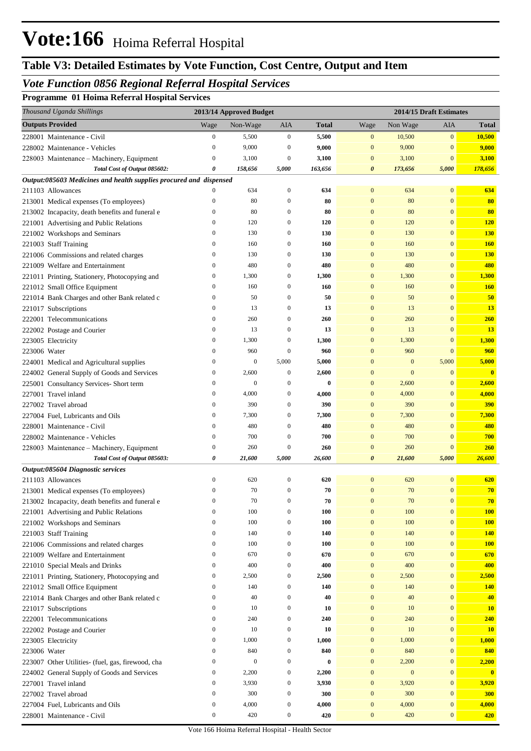#### *Vote Function 0856 Regional Referral Hospital Services*

**Programme 01 Hoima Referral Hospital Services**

|              | Thousand Uganda Shillings                                                                 |                  | 2013/14 Approved Budget |                  |              |                       |                  | 2014/15 Draft Estimates |                         |
|--------------|-------------------------------------------------------------------------------------------|------------------|-------------------------|------------------|--------------|-----------------------|------------------|-------------------------|-------------------------|
|              | <b>Outputs Provided</b>                                                                   | Wage             | Non-Wage                | AIA              | <b>Total</b> | Wage                  | Non Wage         | AIA                     | <b>Total</b>            |
|              | 228001 Maintenance - Civil                                                                | $\boldsymbol{0}$ | 5,500                   | $\boldsymbol{0}$ | 5,500        | $\mathbf{0}$          | 10,500           | $\mathbf{0}$            | 10,500                  |
|              | 228002 Maintenance - Vehicles                                                             | $\mathbf{0}$     | 9,000                   | $\theta$         | 9,000        | $\mathbf{0}$          | 9,000            | $\bf{0}$                | 9,000                   |
|              | 228003 Maintenance - Machinery, Equipment                                                 | $\mathbf{0}$     | 3,100                   | $\mathbf{0}$     | 3,100        | $\mathbf{0}$          | 3,100            | $\bf{0}$                | 3,100                   |
|              | Total Cost of Output 085602:                                                              | 0                | 158,656                 | 5,000            | 163,656      | 0                     | 173,656          | 5,000                   | 178,656                 |
|              | Output:085603 Medicines and health supplies procured and dispensed                        |                  |                         |                  |              |                       |                  |                         |                         |
|              | 211103 Allowances                                                                         | $\Omega$         | 634                     | $\boldsymbol{0}$ | 634          | $\mathbf{0}$          | 634              | $\mathbf{0}$            | 634                     |
|              | 213001 Medical expenses (To employees)                                                    | $\mathbf{0}$     | 80                      | 0                | 80           | $\boldsymbol{0}$      | 80               | $\mathbf{0}$            | 80                      |
|              | 213002 Incapacity, death benefits and funeral e                                           | $\boldsymbol{0}$ | 80                      | 0                | 80           | $\boldsymbol{0}$      | 80               | $\bf{0}$                | 80                      |
|              | 221001 Advertising and Public Relations                                                   | $\boldsymbol{0}$ | 120                     | $\mathbf{0}$     | 120          | $\boldsymbol{0}$      | 120              | $\mathbf{0}$            | <b>120</b>              |
|              | 221002 Workshops and Seminars                                                             | $\boldsymbol{0}$ | 130                     | $\mathbf{0}$     | 130          | $\bf{0}$              | 130              | $\mathbf{0}$            | <b>130</b>              |
|              | 221003 Staff Training                                                                     | $\boldsymbol{0}$ | 160                     | 0                | 160          | $\bf{0}$              | 160              | 0                       | <b>160</b>              |
|              | 221006 Commissions and related charges                                                    | $\boldsymbol{0}$ | 130                     | $\mathbf{0}$     | 130          | $\bf{0}$              | 130              | 0                       | <b>130</b>              |
|              | 221009 Welfare and Entertainment                                                          | $\boldsymbol{0}$ | 480                     | 0                | 480          | $\boldsymbol{0}$      | 480              | $\mathbf{0}$            | 480                     |
|              | 221011 Printing, Stationery, Photocopying and                                             | $\boldsymbol{0}$ | 1,300                   | 0                | 1,300        | $\bf{0}$              | 1,300            | $\bf{0}$                | 1,300                   |
|              | 221012 Small Office Equipment                                                             | $\boldsymbol{0}$ | 160                     | $\mathbf{0}$     | 160          | $\bf{0}$              | 160              | $\mathbf{0}$            | <b>160</b>              |
|              | 221014 Bank Charges and other Bank related c                                              | $\boldsymbol{0}$ | 50                      | $\mathbf{0}$     | 50           | $\bf{0}$              | 50               | $\overline{0}$          | 50                      |
|              | 221017 Subscriptions                                                                      | $\boldsymbol{0}$ | 13                      | $\boldsymbol{0}$ | 13           | $\bf{0}$              | 13               | $\overline{0}$          | 13                      |
|              | 222001 Telecommunications                                                                 | $\boldsymbol{0}$ | 260                     | $\boldsymbol{0}$ | 260          | $\boldsymbol{0}$      | 260              | $\overline{0}$          | 260                     |
|              | 222002 Postage and Courier                                                                | $\boldsymbol{0}$ | 13                      | $\boldsymbol{0}$ | 13           | $\bf{0}$              | 13               | $\overline{0}$          | 13                      |
|              | 223005 Electricity                                                                        | $\boldsymbol{0}$ | 1,300                   | $\theta$         | 1,300        | $\bf{0}$              | 1,300            | $\bf{0}$                | 1,300                   |
| 223006 Water |                                                                                           | $\boldsymbol{0}$ | 960                     | $\theta$         | 960          | $\bf{0}$              | 960              | $\overline{0}$          | 960                     |
|              | 224001 Medical and Agricultural supplies                                                  | $\boldsymbol{0}$ | $\mathbf{0}$            | 5,000            | 5,000        | $\boldsymbol{0}$      | $\mathbf{0}$     | 5,000                   | 5,000                   |
|              | 224002 General Supply of Goods and Services                                               | $\boldsymbol{0}$ | 2,600                   | 0                | 2,600        | $\bf{0}$              | $\mathbf{0}$     | $\mathbf{0}$            | $\overline{\mathbf{0}}$ |
|              | 225001 Consultancy Services- Short term                                                   | $\boldsymbol{0}$ | $\boldsymbol{0}$        | $\theta$         | 0            | $\bf{0}$              | 2,600            | 0                       | 2,600                   |
|              | 227001 Travel inland                                                                      | $\boldsymbol{0}$ | 4,000                   | 0                | 4,000        | $\bf{0}$              | 4,000            | 0                       | 4,000                   |
|              | 227002 Travel abroad                                                                      | $\boldsymbol{0}$ | 390                     | $\boldsymbol{0}$ | 390          | $\boldsymbol{0}$      | 390              | 0                       | 390                     |
|              | 227004 Fuel, Lubricants and Oils                                                          | $\boldsymbol{0}$ | 7,300                   | 0                | 7,300        | $\bf{0}$              | 7,300            | $\bf{0}$                | 7,300                   |
|              | 228001 Maintenance - Civil                                                                | $\boldsymbol{0}$ | 480                     | $\mathbf{0}$     | 480          | $\bf{0}$              | 480              | $\overline{0}$          | 480                     |
|              | 228002 Maintenance - Vehicles                                                             | $\boldsymbol{0}$ | 700                     | $\theta$         | 700          | $\bf{0}$              | 700              | 0                       | 700                     |
|              | 228003 Maintenance – Machinery, Equipment                                                 | $\boldsymbol{0}$ | 260                     | 0                | 260          | $\bf{0}$              | 260              | $\mathbf{0}$            | 260                     |
|              | Total Cost of Output 085603:                                                              | 0                | 21,600                  | 5,000            | 26,600       | $\boldsymbol{\theta}$ | 21,600           | 5,000                   | 26,600                  |
|              | Output:085604 Diagnostic services<br>211103 Allowances                                    | $\boldsymbol{0}$ | 620                     | 0                | 620          | $\bf{0}$              | 620              | $\bf{0}$                | 620                     |
|              |                                                                                           | $\mathbf{0}$     | 70                      | $\boldsymbol{0}$ | 70           | $\mathbf{0}$          | 70               | $\overline{0}$          | 70                      |
|              | 213001 Medical expenses (To employees)<br>213002 Incapacity, death benefits and funeral e |                  | $70\,$                  |                  | 70           | $\boldsymbol{0}$      | 70               | $\boldsymbol{0}$        | 70                      |
|              | 221001 Advertising and Public Relations                                                   | $\boldsymbol{0}$ | 100                     | $\boldsymbol{0}$ | 100          | $\boldsymbol{0}$      | 100              | $\mathbf{0}$            | <b>100</b>              |
|              | 221002 Workshops and Seminars                                                             | $\boldsymbol{0}$ | 100                     | $\boldsymbol{0}$ | 100          | $\mathbf{0}$          | 100              | $\mathbf{0}$            | <b>100</b>              |
|              | 221003 Staff Training                                                                     | $\boldsymbol{0}$ | 140                     | $\boldsymbol{0}$ | 140          | $\mathbf{0}$          | 140              | $\mathbf{0}$            | <b>140</b>              |
|              | 221006 Commissions and related charges                                                    | $\boldsymbol{0}$ | 100                     | $\boldsymbol{0}$ | 100          | $\boldsymbol{0}$      | 100              | $\overline{0}$          | <b>100</b>              |
|              | 221009 Welfare and Entertainment                                                          | $\boldsymbol{0}$ | 670                     | $\boldsymbol{0}$ | 670          | $\boldsymbol{0}$      | 670              | $\overline{0}$          | 670                     |
|              | 221010 Special Meals and Drinks                                                           | $\boldsymbol{0}$ | 400                     | $\boldsymbol{0}$ | 400          | $\bf{0}$              | 400              | $\mathbf{0}$            | 400                     |
|              | 221011 Printing, Stationery, Photocopying and                                             | $\boldsymbol{0}$ | 2,500                   | $\boldsymbol{0}$ | 2,500        | $\boldsymbol{0}$      | 2,500            | $\boldsymbol{0}$        | 2,500                   |
|              | 221012 Small Office Equipment                                                             | $\boldsymbol{0}$ | 140                     | 0                | 140          | $\boldsymbol{0}$      | 140              | $\boldsymbol{0}$        | <b>140</b>              |
|              | 221014 Bank Charges and other Bank related c                                              | $\boldsymbol{0}$ | 40                      | $\boldsymbol{0}$ | 40           | $\boldsymbol{0}$      | 40               | $\overline{0}$          | 40                      |
|              | 221017 Subscriptions                                                                      | $\boldsymbol{0}$ | 10                      | $\boldsymbol{0}$ | 10           | $\mathbf{0}$          | 10               | $\mathbf{0}$            | <b>10</b>               |
|              | 222001 Telecommunications                                                                 | $\boldsymbol{0}$ | 240                     | $\boldsymbol{0}$ | 240          | $\mathbf{0}$          | 240              | $\mathbf{0}$            | 240                     |
|              | 222002 Postage and Courier                                                                | $\boldsymbol{0}$ | 10                      | $\boldsymbol{0}$ | 10           | $\mathbf{0}$          | 10               | $\mathbf{0}$            | <b>10</b>               |
|              | 223005 Electricity                                                                        | $\boldsymbol{0}$ | 1,000                   | $\boldsymbol{0}$ | 1,000        | $\mathbf{0}$          | 1,000            | $\boldsymbol{0}$        | 1,000                   |
| 223006 Water |                                                                                           | $\boldsymbol{0}$ | 840                     | 0                | 840          | $\boldsymbol{0}$      | 840              | $\boldsymbol{0}$        | 840                     |
|              | 223007 Other Utilities- (fuel, gas, firewood, cha                                         | $\boldsymbol{0}$ | $\boldsymbol{0}$        | $\boldsymbol{0}$ | $\bf{0}$     | $\boldsymbol{0}$      | 2,200            | $\boldsymbol{0}$        | 2,200                   |
|              | 224002 General Supply of Goods and Services                                               | $\boldsymbol{0}$ | 2,200                   | 0                | 2,200        | $\mathbf{0}$          | $\boldsymbol{0}$ | $\mathbf{0}$            | $\mathbf{0}$            |
|              | 227001 Travel inland                                                                      | $\boldsymbol{0}$ | 3,930                   | 0                | 3,930        | $\bf{0}$              | 3,920            | $\boldsymbol{0}$        | 3,920                   |
|              | 227002 Travel abroad                                                                      | $\boldsymbol{0}$ | 300                     | $\boldsymbol{0}$ | 300          | $\mathbf{0}$          | 300              | $\overline{0}$          | 300                     |
|              | 227004 Fuel, Lubricants and Oils                                                          | $\boldsymbol{0}$ | 4,000                   | $\boldsymbol{0}$ | 4,000        | $\mathbf{0}$          | 4,000            | $\boldsymbol{0}$        | 4,000                   |
|              | 228001 Maintenance - Civil                                                                | $\boldsymbol{0}$ | 420                     | $\boldsymbol{0}$ | 420          | $\bf{0}$              | 420              | $\boldsymbol{0}$        | 420                     |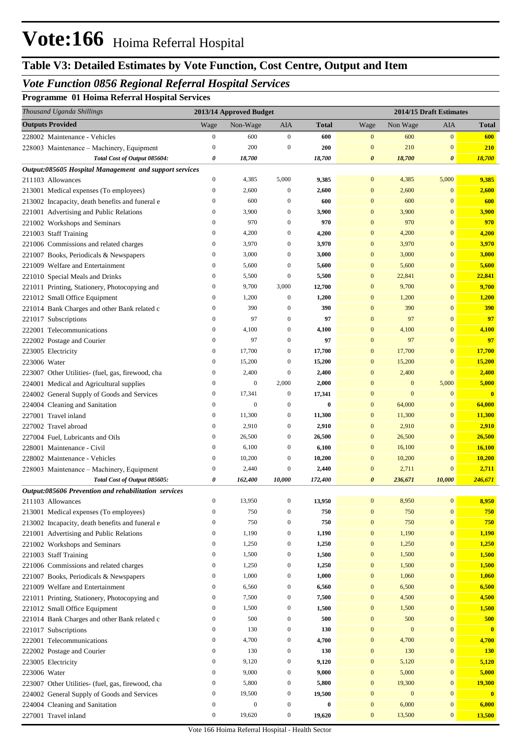#### *Vote Function 0856 Regional Referral Hospital Services*

**Programme 01 Hoima Referral Hospital Services**

|              | Thousand Uganda Shillings                              |                  | 2013/14 Approved Budget |                  |              |                       |                  | 2014/15 Draft Estimates |              |
|--------------|--------------------------------------------------------|------------------|-------------------------|------------------|--------------|-----------------------|------------------|-------------------------|--------------|
|              | <b>Outputs Provided</b>                                | Wage             | Non-Wage                | AIA              | <b>Total</b> | Wage                  | Non Wage         | AIA                     | <b>Total</b> |
|              | 228002 Maintenance - Vehicles                          | $\boldsymbol{0}$ | 600                     | $\mathbf{0}$     | 600          | $\mathbf{0}$          | 600              | $\mathbf{0}$            | 600          |
|              | 228003 Maintenance - Machinery, Equipment              | $\boldsymbol{0}$ | 200                     | $\boldsymbol{0}$ | 200          | $\mathbf{0}$          | 210              | $\mathbf{0}$            | <b>210</b>   |
|              | Total Cost of Output 085604:                           | 0                | 18,700                  |                  | 18,700       | $\pmb{\theta}$        | 18,700           | $\pmb{\theta}$          | 18,700       |
|              | Output:085605 Hospital Management and support services |                  |                         |                  |              |                       |                  |                         |              |
|              | 211103 Allowances                                      | $\boldsymbol{0}$ | 4,385                   | 5,000            | 9,385        | $\mathbf{0}$          | 4,385            | 5,000                   | 9,385        |
|              | 213001 Medical expenses (To employees)                 | $\boldsymbol{0}$ | 2,600                   | $\boldsymbol{0}$ | 2,600        | $\mathbf{0}$          | 2,600            | $\mathbf{0}$            | 2,600        |
|              | 213002 Incapacity, death benefits and funeral e        | $\boldsymbol{0}$ | 600                     | $\boldsymbol{0}$ | 600          | $\mathbf{0}$          | 600              | $\mathbf{0}$            | 600          |
|              | 221001 Advertising and Public Relations                | $\boldsymbol{0}$ | 3,900                   | $\boldsymbol{0}$ | 3,900        | $\mathbf{0}$          | 3,900            | $\mathbf{0}$            | 3,900        |
|              | 221002 Workshops and Seminars                          | $\boldsymbol{0}$ | 970                     | $\boldsymbol{0}$ | 970          | $\mathbf{0}$          | 970              | $\mathbf{0}$            | 970          |
|              | 221003 Staff Training                                  | $\boldsymbol{0}$ | 4,200                   | $\boldsymbol{0}$ | 4,200        | $\mathbf{0}$          | 4,200            | $\mathbf{0}$            | 4,200        |
|              | 221006 Commissions and related charges                 | $\boldsymbol{0}$ | 3,970                   | $\boldsymbol{0}$ | 3,970        | $\mathbf{0}$          | 3,970            | $\mathbf{0}$            | 3,970        |
|              | 221007 Books, Periodicals & Newspapers                 | $\boldsymbol{0}$ | 3,000                   | $\boldsymbol{0}$ | 3,000        | $\mathbf{0}$          | 3,000            | $\mathbf{0}$            | 3,000        |
|              | 221009 Welfare and Entertainment                       | $\boldsymbol{0}$ | 5,600                   | $\boldsymbol{0}$ | 5,600        | $\mathbf{0}$          | 5,600            | $\mathbf{0}$            | 5,600        |
|              | 221010 Special Meals and Drinks                        | $\boldsymbol{0}$ | 5,500                   | $\mathbf{0}$     | 5,500        | $\mathbf{0}$          | 22,841           | $\mathbf{0}$            | 22,841       |
|              | 221011 Printing, Stationery, Photocopying and          | $\boldsymbol{0}$ | 9,700                   | 3,000            | 12,700       | $\mathbf{0}$          | 9,700            | $\mathbf{0}$            | 9,700        |
|              | 221012 Small Office Equipment                          | $\boldsymbol{0}$ | 1,200                   | $\boldsymbol{0}$ | 1,200        | $\mathbf{0}$          | 1,200            | $\mathbf{0}$            | 1,200        |
|              | 221014 Bank Charges and other Bank related c           | $\boldsymbol{0}$ | 390                     | $\boldsymbol{0}$ | 390          | $\mathbf{0}$          | 390              | $\mathbf{0}$            | <b>390</b>   |
|              | 221017 Subscriptions                                   | $\boldsymbol{0}$ | 97                      | $\boldsymbol{0}$ | 97           | $\mathbf{0}$          | 97               | $\mathbf{0}$            | 97           |
|              | 222001 Telecommunications                              | $\boldsymbol{0}$ | 4,100                   | $\boldsymbol{0}$ | 4,100        | $\mathbf{0}$          | 4,100            | $\mathbf{0}$            | 4,100        |
|              | 222002 Postage and Courier                             | $\boldsymbol{0}$ | 97                      | $\boldsymbol{0}$ | 97           | $\mathbf{0}$          | 97               | $\mathbf{0}$            | 97           |
|              | 223005 Electricity                                     | $\boldsymbol{0}$ | 17,700                  | $\boldsymbol{0}$ | 17,700       | $\mathbf{0}$          | 17,700           | $\mathbf{0}$            | 17,700       |
| 223006 Water |                                                        | $\boldsymbol{0}$ | 15,200                  | $\boldsymbol{0}$ | 15,200       | $\mathbf{0}$          | 15,200           | $\mathbf{0}$            | 15,200       |
|              | 223007 Other Utilities- (fuel, gas, firewood, cha      | $\boldsymbol{0}$ | 2,400                   | $\boldsymbol{0}$ | 2,400        | $\mathbf{0}$          | 2,400            | $\mathbf{0}$            | 2,400        |
|              | 224001 Medical and Agricultural supplies               | $\boldsymbol{0}$ | $\mathbf{0}$            | 2,000            | 2,000        | $\mathbf{0}$          | $\boldsymbol{0}$ | 5,000                   | 5,000        |
|              | 224002 General Supply of Goods and Services            | $\boldsymbol{0}$ | 17,341                  | $\boldsymbol{0}$ | 17,341       | $\mathbf{0}$          | $\mathbf{0}$     | $\mathbf{0}$            | $\mathbf{0}$ |
|              | 224004 Cleaning and Sanitation                         | $\boldsymbol{0}$ | $\mathbf{0}$            | $\boldsymbol{0}$ | $\bf{0}$     | $\mathbf{0}$          | 64,000           | $\mathbf{0}$            | 64,000       |
|              | 227001 Travel inland                                   | $\boldsymbol{0}$ | 11,300                  | $\boldsymbol{0}$ | 11,300       | $\mathbf{0}$          | 11,300           | $\mathbf{0}$            | 11,300       |
|              | 227002 Travel abroad                                   | $\boldsymbol{0}$ | 2,910                   | $\boldsymbol{0}$ | 2,910        | $\mathbf{0}$          | 2,910            | $\mathbf{0}$            | 2,910        |
|              | 227004 Fuel, Lubricants and Oils                       | $\boldsymbol{0}$ | 26,500                  | $\boldsymbol{0}$ | 26,500       | $\mathbf{0}$          | 26,500           | $\mathbf{0}$            | 26,500       |
|              | 228001 Maintenance - Civil                             | $\boldsymbol{0}$ | 6,100                   | $\boldsymbol{0}$ | 6,100        | $\mathbf{0}$          | 16,100           | $\mathbf{0}$            | 16,100       |
|              | 228002 Maintenance - Vehicles                          | $\boldsymbol{0}$ | 10,200                  | $\boldsymbol{0}$ | 10,200       | $\mathbf{0}$          | 10,200           | $\mathbf{0}$            | 10,200       |
|              | 228003 Maintenance - Machinery, Equipment              | $\boldsymbol{0}$ | 2,440                   | $\boldsymbol{0}$ | 2,440        | $\mathbf{0}$          | 2,711            | $\mathbf{0}$            | 2,711        |
|              | Total Cost of Output 085605:                           | 0                | 162,400                 | 10,000           | 172,400      | $\boldsymbol{\theta}$ | 236,671          | 10,000                  | 246,671      |
|              | Output:085606 Prevention and rehabilitation services   |                  |                         |                  |              |                       |                  |                         |              |
|              | 211103 Allowances                                      | $\Omega$         | 13,950                  |                  | 13,950       |                       | 8,950            | $\mathbf{0}$            | 8,950        |
|              | 213001 Medical expenses (To employees)                 | $\boldsymbol{0}$ | 750                     | $\boldsymbol{0}$ | 750          | $\boldsymbol{0}$      | 750              | $\boldsymbol{0}$        | 750          |
|              | 213002 Incapacity, death benefits and funeral e        | $\boldsymbol{0}$ | 750                     | 0                | 750          | $\mathbf{0}$          | 750              | $\mathbf{0}$            | 750          |
|              | 221001 Advertising and Public Relations                | $\boldsymbol{0}$ | 1,190                   | $\boldsymbol{0}$ | 1,190        | $\boldsymbol{0}$      | 1,190            | $\bf{0}$                | 1,190        |
|              | 221002 Workshops and Seminars                          | $\boldsymbol{0}$ | 1,250                   | $\boldsymbol{0}$ | 1,250        | $\boldsymbol{0}$      | 1,250            | $\mathbf{0}$            | 1,250        |
|              | 221003 Staff Training                                  | $\boldsymbol{0}$ | 1,500                   | $\boldsymbol{0}$ | 1,500        | $\boldsymbol{0}$      | 1,500            | $\mathbf{0}$            | 1,500        |
|              | 221006 Commissions and related charges                 | $\boldsymbol{0}$ | 1,250                   | $\boldsymbol{0}$ | 1,250        | $\mathbf{0}$          | 1,500            | $\mathbf{0}$            | 1,500        |
|              | 221007 Books, Periodicals & Newspapers                 | $\boldsymbol{0}$ | 1,000                   | 0                | 1,000        | $\boldsymbol{0}$      | 1,060            | $\mathbf{0}$            | 1,060        |
|              | 221009 Welfare and Entertainment                       | $\boldsymbol{0}$ | 6,560                   | 0                | 6,560        | $\mathbf{0}$          | 6,500            | $\mathbf{0}$            | 6,500        |
|              | 221011 Printing, Stationery, Photocopying and          | $\boldsymbol{0}$ | 7,500                   | 0                | 7,500        | $\mathbf{0}$          | 4,500            | $\mathbf{0}$            | 4,500        |
|              | 221012 Small Office Equipment                          | $\boldsymbol{0}$ | 1,500                   | 0                | 1,500        | $\mathbf{0}$          | 1,500            | $\mathbf{0}$            | 1,500        |
|              | 221014 Bank Charges and other Bank related c           | $\boldsymbol{0}$ | 500                     | 0                | 500          | $\mathbf{0}$          | 500              | $\mathbf{0}$            | 500          |
|              | 221017 Subscriptions                                   | $\boldsymbol{0}$ | 130                     | 0                | 130          | $\mathbf{0}$          | $\boldsymbol{0}$ | $\mathbf{0}$            | $\mathbf{0}$ |
|              | 222001 Telecommunications                              | $\boldsymbol{0}$ | 4,700                   | 0                | 4,700        | $\boldsymbol{0}$      | 4,700            | $\mathbf{0}$            | 4,700        |
|              | 222002 Postage and Courier                             | $\boldsymbol{0}$ | 130                     | 0                | 130          | $\mathbf{0}$          | 130              | $\mathbf{0}$            | <b>130</b>   |
|              | 223005 Electricity                                     | $\boldsymbol{0}$ | 9,120                   | 0                | 9,120        | $\mathbf{0}$          | 5,120            | $\mathbf{0}$            | 5,120        |
| 223006 Water |                                                        | $\boldsymbol{0}$ | 9,000                   | $\boldsymbol{0}$ | 9,000        | $\mathbf{0}$          | 5,000            | $\mathbf{0}$            | 5,000        |
|              | 223007 Other Utilities- (fuel, gas, firewood, cha      | $\boldsymbol{0}$ | 5,800                   | 0                | 5,800        | $\mathbf{0}$          | 19,300           | $\mathbf{0}$            | 19,300       |
|              | 224002 General Supply of Goods and Services            | $\boldsymbol{0}$ | 19,500                  | 0                | 19,500       | $\mathbf{0}$          | $\boldsymbol{0}$ | $\mathbf{0}$            | $\mathbf{0}$ |
|              | 224004 Cleaning and Sanitation                         | $\boldsymbol{0}$ | $\boldsymbol{0}$        | $\boldsymbol{0}$ | $\bf{0}$     | $\mathbf{0}$          | 6,000            | $\mathbf{0}$            | 6,000        |
|              | 227001 Travel inland                                   | $\boldsymbol{0}$ | 19,620                  | $\boldsymbol{0}$ | 19,620       | $\mathbf{0}$          | 13,500           | $\bf{0}$                | 13,500       |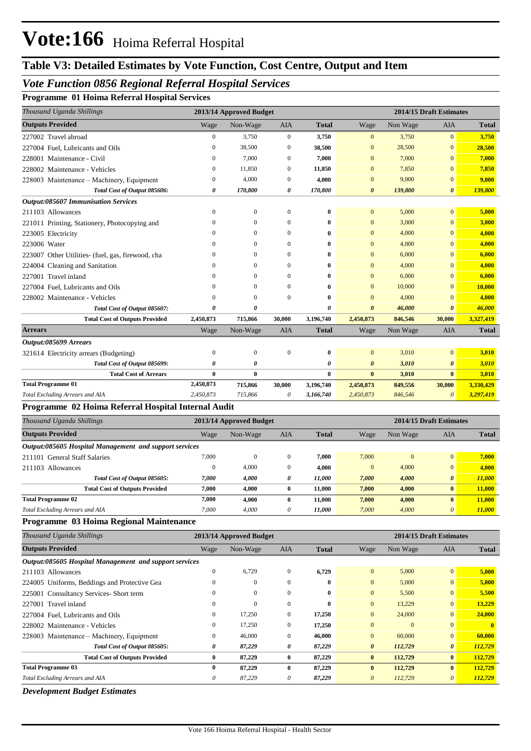#### *Vote Function 0856 Regional Referral Hospital Services*

**Programme 01 Hoima Referral Hospital Services**

| Thousand Uganda Shillings                           |                  | 2013/14 Approved Budget |              |              |                       |          | 2014/15 Draft Estimates |              |
|-----------------------------------------------------|------------------|-------------------------|--------------|--------------|-----------------------|----------|-------------------------|--------------|
| <b>Outputs Provided</b>                             | Wage             | Non-Wage                | <b>AIA</b>   | <b>Total</b> | Wage                  | Non Wage | <b>AIA</b>              | <b>Total</b> |
| 227002 Travel abroad                                | $\boldsymbol{0}$ | 3,750                   | $\mathbf{0}$ | 3,750        | $\mathbf{0}$          | 3,750    | $\overline{0}$          | 3,750        |
| 227004 Fuel. Lubricants and Oils                    | $\mathbf{0}$     | 38,500                  | $\mathbf{0}$ | 38,500       | $\mathbf{0}$          | 28,500   | $\mathbf{0}$            | 28,500       |
| 228001 Maintenance - Civil                          | $\mathbf{0}$     | 7,000                   | $\mathbf{0}$ | 7,000        | $\mathbf{0}$          | 7,000    | $\Omega$                | 7,000        |
| 228002 Maintenance - Vehicles                       | $\mathbf{0}$     | 11,850                  | $\mathbf{0}$ | 11,850       | $\mathbf{0}$          | 7.850    | $\mathbf{0}$            | 7,850        |
| 228003 Maintenance – Machinery, Equipment           | $\Omega$         | 4,000                   | $\mathbf{0}$ | 4,000        | $\mathbf{0}$          | 9,000    | $\mathbf{0}$            | 9,000        |
| Total Cost of Output 085606:                        | 0                | 170,800                 | 0            | 170,800      | $\boldsymbol{\theta}$ | 139,800  | $\boldsymbol{\theta}$   | 139,800      |
| <b>Output:085607 Immunisation Services</b>          |                  |                         |              |              |                       |          |                         |              |
| 211103 Allowances                                   | $\mathbf{0}$     | $\mathbf{0}$            | $\mathbf{0}$ | $\bf{0}$     | $\overline{0}$        | 5,000    | $\overline{0}$          | 5,000        |
| 221011 Printing, Stationery, Photocopying and       | $\Omega$         | $\Omega$                | $\Omega$     | $\bf{0}$     | $\mathbf{0}$          | 3,000    | $\overline{0}$          | 3,000        |
| 223005 Electricity                                  | $\Omega$         | $\Omega$                | $\theta$     | $\bf{0}$     | $\Omega$              | 4,000    | $\overline{0}$          | 4,000        |
| 223006 Water                                        | $\Omega$         | $\Omega$                | $\Omega$     | $\bf{0}$     | $\mathbf{0}$          | 4,000    | $\overline{0}$          | 4,000        |
| 223007 Other Utilities- (fuel, gas, firewood, cha   | $\Omega$         | $\Omega$                | $\mathbf{0}$ | $\bf{0}$     | $\mathbf{0}$          | 6,000    | $\mathbf{0}$            | 6,000        |
| 224004 Cleaning and Sanitation                      | $\Omega$         | $\Omega$                | $\Omega$     | $\bf{0}$     | $\Omega$              | 4,000    | $\Omega$                | 4,000        |
| 227001 Travel inland                                | $\Omega$         | $\Omega$                | $\Omega$     | $\bf{0}$     | $\mathbf{0}$          | 6,000    | $\Omega$                | 6,000        |
| 227004 Fuel. Lubricants and Oils                    | $\Omega$         | $\Omega$                | $\Omega$     | $\bf{0}$     | $\Omega$              | 10,000   | $\Omega$                | 10,000       |
| 228002 Maintenance - Vehicles                       | $\Omega$         | $\Omega$                | $\Omega$     | $\bf{0}$     | $\mathbf{0}$          | 4,000    | $\Omega$                | 4,000        |
| Total Cost of Output 085607:                        | 0                | $\theta$                |              | 0            | $\theta$              | 46,000   | $\theta$                | 46,000       |
| <b>Total Cost of Outputs Provided</b>               | 2,450,873        | 715,866                 | 30,000       | 3,196,740    | 2,450,873             | 846,546  | 30,000                  | 3,327,419    |
| <b>Arrears</b>                                      | Wage             | Non-Wage                | <b>AIA</b>   | <b>Total</b> | Wage                  | Non Wage | <b>AIA</b>              | <b>Total</b> |
| Output:085699 Arrears                               |                  |                         |              |              |                       |          |                         |              |
| 321614 Electricity arrears (Budgeting)              | $\mathbf{0}$     | $\mathbf{0}$            | $\theta$     | $\bf{0}$     | $\overline{0}$        | 3,010    | $\mathbf{0}$            | 3,010        |
| Total Cost of Output 085699:                        | 0                | 0                       |              | 0            | $\boldsymbol{\theta}$ | 3,010    | $\boldsymbol{\theta}$   | 3,010        |
| <b>Total Cost of Arrears</b>                        | $\bf{0}$         | $\bf{0}$                |              | $\bf{0}$     | $\bf{0}$              | 3,010    | $\bf{0}$                | 3,010        |
| <b>Total Programme 01</b>                           | 2,450,873        | 715,866                 | 30,000       | 3,196,740    | 2,450,873             | 849,556  | 30,000                  | 3,330,429    |
| Total Excluding Arrears and AIA                     | 2,450,873        | 715,866                 | 0            | 3,166,740    | 2,450,873             | 846,546  | $\boldsymbol{\theta}$   | 3,297,419    |
| Programme 02 Hoima Referral Hospital Internal Audit |                  |                         |              |              |                       |          |                         |              |

#### *Thousand Uganda Shillings* **2013/14 Approved Budget 2014/15 Draft Estimates Outputs Provided** Wage Non-Wage AIA **Total** Wage Non Wage AIA **Total** *Output:085605 Hospital Management and support services* 211101 General Staff Salaries 7,000 0 0 **7,000** 7,000 0 0 **7,000** 211103 Allowances 0 4,000 0 **4,000** 0 4,000 0 **4,000** *Total Cost of Output 085605: 7,000 4,000 0 11,000 7,000 4,000 0 11,000* **Total Cost of Outputs Provided 7,000 4,000 0 11,000 7,000 4,000 0 11,000 7,000 4,000 11,000 7,000 4,000 11,000** *Total Excluding Arrears and AIA 7,000 4,000 11,000 7,000 4,000 11,000* **0** *0* **0** *0* **Total Programme 02**

#### **Programme 03 Hoima Regional Maintenance**

| Thousand Uganda Shillings                              |              | 2013/14 Approved Budget |              |              |                | 2014/15 Draft Estimates |                       |              |
|--------------------------------------------------------|--------------|-------------------------|--------------|--------------|----------------|-------------------------|-----------------------|--------------|
| <b>Outputs Provided</b>                                | Wage         | Non-Wage                | AIA          | <b>Total</b> | Wage           | Non Wage                | <b>AIA</b>            | <b>Total</b> |
| Output:085605 Hospital Management and support services |              |                         |              |              |                |                         |                       |              |
| 211103 Allowances                                      | 0            | 6,729                   | $\Omega$     | 6,729        | $\mathbf{0}$   | 5,000                   | $\overline{0}$        | 5,000        |
| 224005 Uniforms, Beddings and Protective Gea           |              | $\mathbf{0}$            | $\theta$     | 0            | $\mathbf{0}$   | 5,000                   | $\mathbf{0}$          | 5,000        |
| 225001 Consultancy Services-Short term                 |              | $\mathbf{0}$            | $\Omega$     | $\mathbf{0}$ | $\mathbf{0}$   | 5,500                   | $\mathbf{0}$          | 5,500        |
| 227001 Travel inland                                   | $^{(1)}$     | $\mathbf{0}$            | $\Omega$     | $\mathbf{0}$ | $\overline{0}$ | 13,229                  | $\mathbf{0}$          | 13,229       |
| 227004 Fuel, Lubricants and Oils                       | 0            | 17,250                  | $\Omega$     | 17,250       | $\overline{0}$ | 24,000                  | $\mathbf{0}$          | 24,000       |
| 228002 Maintenance - Vehicles                          | 0            | 17,250                  | $\Omega$     | 17,250       | $\mathbf{0}$   | $\Omega$                | $\Omega$              |              |
| 228003 Maintenance – Machinery, Equipment              | 0            | 46,000                  | $\Omega$     | 46,000       | $\overline{0}$ | 60,000                  | $\mathbf{0}$          | 60,000       |
| Total Cost of Output 085605:                           | 0            | 87,229                  | 0            | 87,229       | $\theta$       | 112,729                 | $\theta$              | 112,729      |
| <b>Total Cost of Outputs Provided</b>                  | $\mathbf{0}$ | 87,229                  | $\bf{0}$     | 87,229       | $\bf{0}$       | 112,729                 | $\bf{0}$              | 112,729      |
| <b>Total Programme 03</b>                              | 0            | 87,229                  | $\mathbf{0}$ | 87,229       | $\bf{0}$       | 112,729                 | $\mathbf{0}$          | 112,729      |
| <b>Total Excluding Arrears and AIA</b>                 | 0            | 87,229                  | 0            | 87,229       | $\theta$       | 112,729                 | $\boldsymbol{\theta}$ | 112,729      |

*Development Budget Estimates*